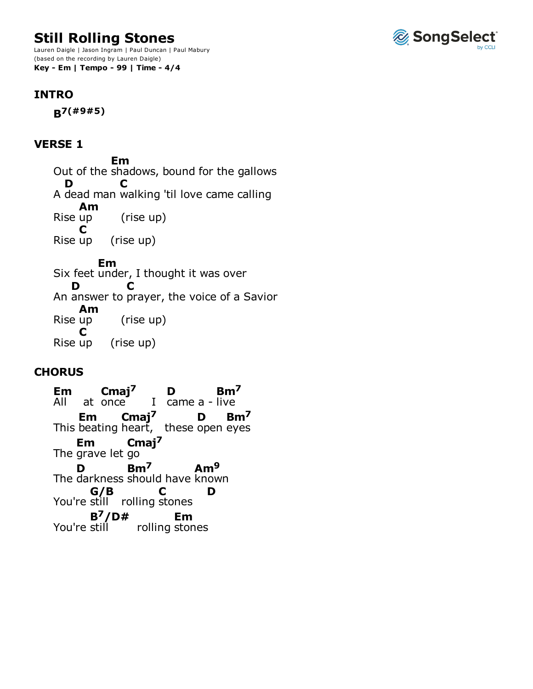# **Still Rolling Stones**

Lauren Daigle | Jason Ingram | Paul Duncan | Paul Mabury (based on the recording by Lauren Daigle) **Key - Em | Tempo - 99 | Time - 4/4**

### **INTRO**

**B7(#9#5)**

#### **VERSE 1**

Out of the shadows, bound for the gallows A dead man walking 'til love came calling (rise up) (rise up) Six feet under, I thought it was over An answer to prayer, the voice of a Savior (rise up) (rise up) **Em D C** Rise up **Am** Rise up **C Em D C** Rise up **Am** Rise up **C**

## **CHORUS**

 $at once$  I came  $a$  - live This beating heart, these The grave let go The darkness should have known You're still rolling stones You're still rolling stones All **Em** at once **Cmaj7 D Bm7 Em** heart, **Cmaj7** open **D** eyes **Bm7 Em Cmaj7 D Bm7 Am9 G/B C D B7/D# Em**